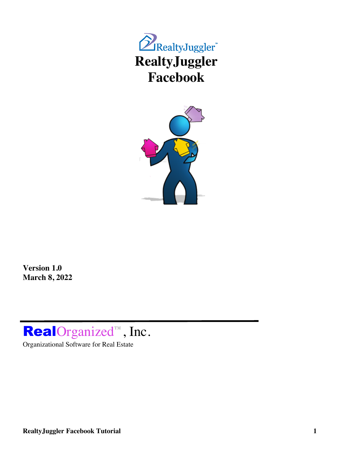



**Version 1.0 March 8, 2022**

# **RealOrganized™**, Inc.

Organizational Software for Real Estate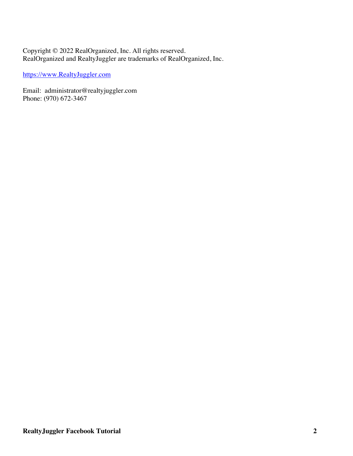#### Copyright © 2022 RealOrganized, Inc. All rights reserved. RealOrganized and RealtyJuggler are trademarks of RealOrganized, Inc.

https://www.RealtyJuggler.com

Email: administrator@realtyjuggler.com Phone: (970) 672-3467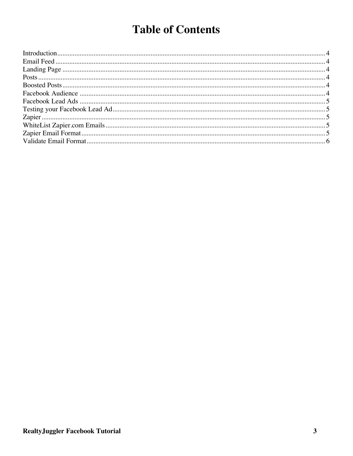## **Table of Contents**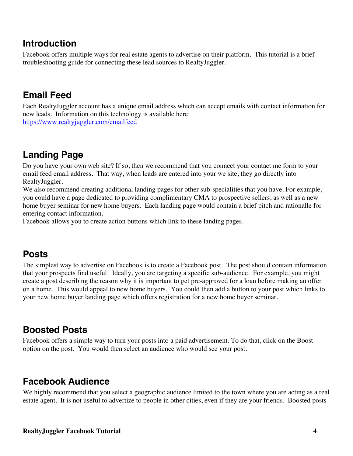#### **Introduction**

Facebook offers multiple ways for real estate agents to advertise on their platform. This tutorial is a brief troubleshooting guide for connecting these lead sources to RealtyJuggler.

#### **Email Feed**

Each RealtyJuggler account has a unique email address which can accept emails with contact information for new leads. Information on this technology is available here:

https://www.realtyjuggler.com/emailfeed

### **Landing Page**

Do you have your own web site? If so, then we recommend that you connect your contact me form to your email feed email address. That way, when leads are entered into your we site, they go directly into RealtyJuggler.

We also recommend creating additional landing pages for other sub-specialities that you have. For example, you could have a page dedicated to providing complimentary CMA to prospective sellers, as well as a new home buyer seminar for new home buyers. Each landing page would contain a brief pitch and rationalle for entering contact information.

Facebook allows you to create action buttons which link to these landing pages.

### **Posts**

The simplest way to advertise on Facebook is to create a Facebook post. The post should contain information that your prospects find useful. Ideally, you are targeting a specific sub-audience. For example, you might create a post describing the reason why it is important to get pre-approved for a loan before making an offer on a home. This would appeal to new home buyers. You could then add a button to your post which links to your new home buyer landing page which offers registration for a new home buyer seminar.

#### **Boosted Posts**

Facebook offers a simple way to turn your posts into a paid advertisement. To do that, click on the Boost option on the post. You would then select an audience who would see your post.

#### **Facebook Audience**

We highly recommend that you select a geographic audience limited to the town where you are acting as a real estate agent. It is not useful to advertize to people in other cities, even if they are your friends. Boosted posts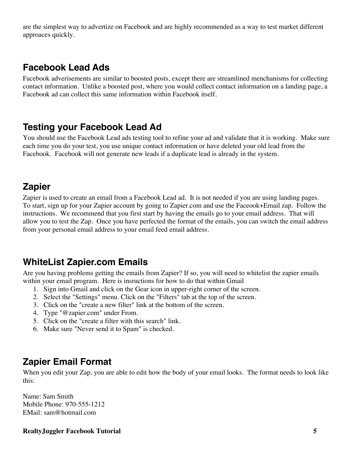are the simplest way to advertize on Facebook and are highly recommended as a way to test market different approaces quickly.

#### **Facebook Lead Ads**

Facebook adverisements are similar to boosted posts, except there are streamlined menchanisms for collecting contact information. Unlike a boosted post, where you would collect contact information on a landing page, a Facebook ad can collect this same information within Facebook itself.

#### **Testing your Facebook Lead Ad**

You should use the Facebook Lead ads testing tool to refine your ad and validate that it is working. Make sure each time you do your test, you use unique contact information or have deleted your old lead from the Facebook. Facebook will not generate new leads if a duplicate lead is already in the system.

#### **Zapier**

Zapier is used to create an email from a Facebook Lead ad. It is not needed if you are using landing pages. To start, sign up for your Zapier account by going to Zapier.com and use the Faceook+Email zap. Follow the instructions. We recommend that you first start by having the emails go to your email address. That will allow you to test the Zap. Once you have perfected the format of the emails, you can switch the email address from your personal email address to your email feed email address.

#### **WhiteList Zapier.com Emails**

Are you having problems getting the emails from Zapier? If so, you will need to whitelist the zapier emails within your email program. Here is insructions for how to do that within Gmail

- 1. Sign into Gmail and click on the Gear icon in upper-right corner of the screen.
- 2. Select the "Settings" menu. Click on the "Filters" tab at the top of the screen.
- 3. Click on the "create a new filter" link at the bottom of the screen.
- 4. Type "@zapier.com" under From.
- 5. Click on the "create a filter with this search" link.
- 6. Make sure "Never send it to Spam" is checked.

#### **Zapier Email Format**

When you edit your Zap, you are able to edit how the body of your email looks. The format needs to look like this:

Name: Sam Smith Mobile Phone: 970-555-1212 EMail: sam@hotmail.com

**RealtyJuggler Facebook Tutorial 5**